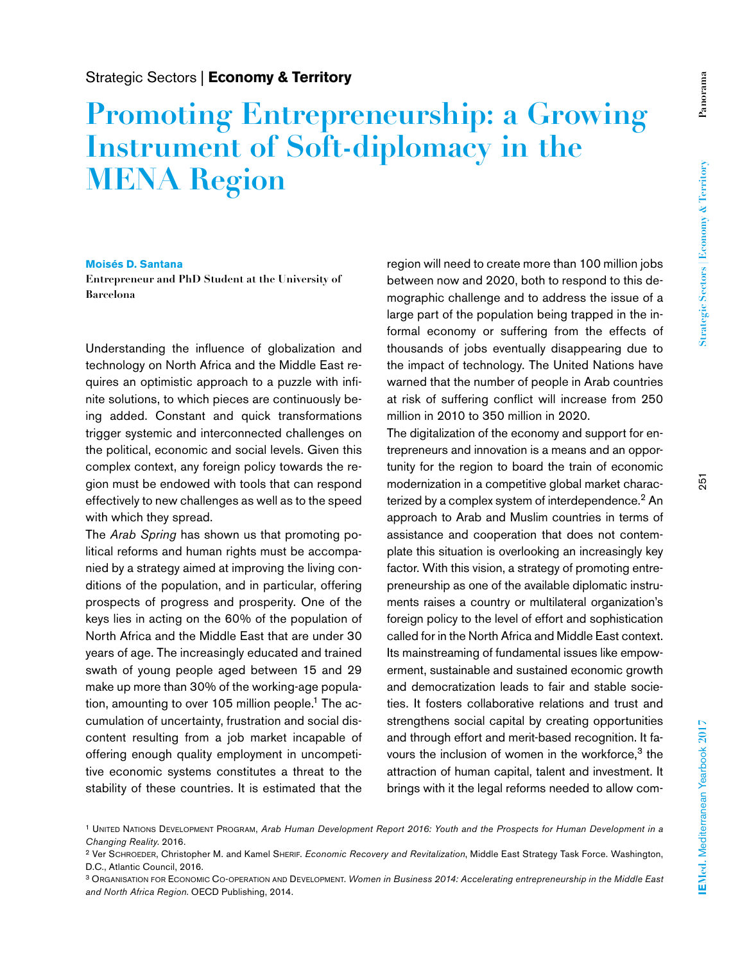## **Promoting Entrepreneurship: a Growing Instrument of Soft-diplomacy in the MENA Region**

## **Moisés D. Santana**

**Entrepreneur and PhD Student at the University of Barcelona**

Understanding the influence of globalization and technology on North Africa and the Middle East requires an optimistic approach to a puzzle with infinite solutions, to which pieces are continuously being added. Constant and quick transformations trigger systemic and interconnected challenges on the political, economic and social levels. Given this complex context, any foreign policy towards the region must be endowed with tools that can respond effectively to new challenges as well as to the speed with which they spread.

The *Arab Spring* has shown us that promoting political reforms and human rights must be accompanied by a strategy aimed at improving the living conditions of the population, and in particular, offering prospects of progress and prosperity. One of the keys lies in acting on the 60% of the population of North Africa and the Middle East that are under 30 years of age. The increasingly educated and trained swath of young people aged between 15 and 29 make up more than 30% of the working-age population, amounting to over 105 million people.<sup>1</sup> The accumulation of uncertainty, frustration and social discontent resulting from a job market incapable of offering enough quality employment in uncompetitive economic systems constitutes a threat to the stability of these countries. It is estimated that the

region will need to create more than 100 million jobs between now and 2020, both to respond to this demographic challenge and to address the issue of a large part of the population being trapped in the informal economy or suffering from the effects of thousands of jobs eventually disappearing due to the impact of technology. The United Nations have warned that the number of people in Arab countries at risk of suffering conflict will increase from 250 million in 2010 to 350 million in 2020.

The digitalization of the economy and support for entrepreneurs and innovation is a means and an opportunity for the region to board the train of economic modernization in a competitive global market characterized by a complex system of interdependence.<sup>2</sup> An approach to Arab and Muslim countries in terms of assistance and cooperation that does not contemplate this situation is overlooking an increasingly key factor. With this vision, a strategy of promoting entrepreneurship as one of the available diplomatic instruments raises a country or multilateral organization's foreign policy to the level of effort and sophistication called for in the North Africa and Middle East context. Its mainstreaming of fundamental issues like empowerment, sustainable and sustained economic growth and democratization leads to fair and stable societies. It fosters collaborative relations and trust and strengthens social capital by creating opportunities and through effort and merit-based recognition. It favours the inclusion of women in the workforce,<sup>3</sup> the attraction of human capital, talent and investment. It brings with it the legal reforms needed to allow com-

<sup>1</sup> United Nations Development Program, *Arab Human Development Report 2016: Youth and the Prospects for Human Development in a Changing Reality*. 2016.

<sup>2</sup> Ver Schroeder, Christopher M. and Kamel Sherif. *Economic Recovery and Revitalization*, Middle East Strategy Task Force. Washington, D.C., Atlantic Council, 2016.

<sup>3</sup> Organisation for Economic Co-operation and Development. *Women in Business 2014: Accelerating entrepreneurship in the Middle East and North Africa Region*. OECD Publishing, 2014.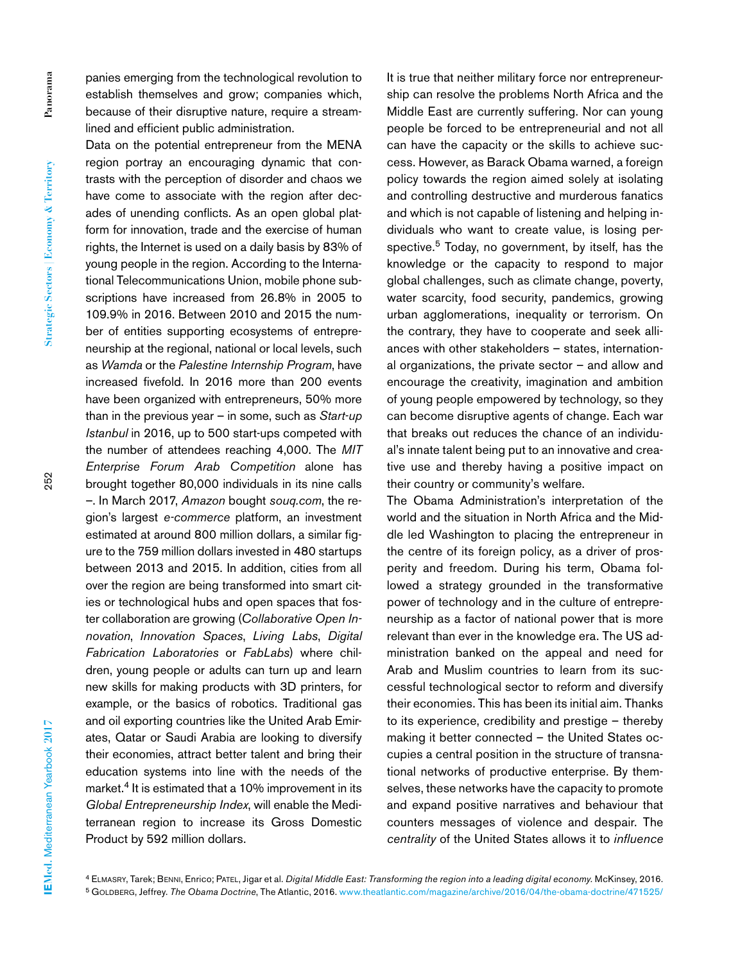**Strategic Sectors | Economy & Territory**

Strategic Sectors | Economy & Territory

panies emerging from the technological revolution to establish themselves and grow; companies which, because of their disruptive nature, require a streamlined and efficient public administration.

Data on the potential entrepreneur from the MENA region portray an encouraging dynamic that contrasts with the perception of disorder and chaos we have come to associate with the region after decades of unending conflicts. As an open global platform for innovation, trade and the exercise of human rights, the Internet is used on a daily basis by 83% of young people in the region. According to the International Telecommunications Union, mobile phone subscriptions have increased from 26.8% in 2005 to 109.9% in 2016. Between 2010 and 2015 the number of entities supporting ecosystems of entrepreneurship at the regional, national or local levels, such as *Wamda* or the *Palestine Internship Program*, have increased fivefold. In 2016 more than 200 events have been organized with entrepreneurs, 50% more than in the previous year – in some, such as *Start-up Istanbul* in 2016, up to 500 start-ups competed with the number of attendees reaching 4,000. The *MIT Enterprise Forum Arab Competition* alone has brought together 80,000 individuals in its nine calls –. In March 2017, *Amazon* bought *souq.com*, the region's largest *e-commerce* platform, an investment estimated at around 800 million dollars, a similar figure to the 759 million dollars invested in 480 startups between 2013 and 2015. In addition, cities from all over the region are being transformed into smart cities or technological hubs and open spaces that foster collaboration are growing (*Collaborative Open Innovation*, *Innovation Spaces*, *Living Labs*, *Digital Fabrication Laboratories* or *FabLabs*) where children, young people or adults can turn up and learn new skills for making products with 3D printers, for example, or the basics of robotics. Traditional gas and oil exporting countries like the United Arab Emirates, Qatar or Saudi Arabia are looking to diversify their economies, attract better talent and bring their education systems into line with the needs of the market.<sup>4</sup> It is estimated that a 10% improvement in its *Global Entrepreneurship Index*, will enable the Mediterranean region to increase its Gross Domestic Product by 592 million dollars.

It is true that neither military force nor entrepreneurship can resolve the problems North Africa and the Middle East are currently suffering. Nor can young people be forced to be entrepreneurial and not all can have the capacity or the skills to achieve success. However, as Barack Obama warned, a foreign policy towards the region aimed solely at isolating and controlling destructive and murderous fanatics and which is not capable of listening and helping individuals who want to create value, is losing perspective.<sup>5</sup> Today, no government, by itself, has the knowledge or the capacity to respond to major global challenges, such as climate change, poverty, water scarcity, food security, pandemics, growing urban agglomerations, inequality or terrorism. On the contrary, they have to cooperate and seek alliances with other stakeholders – states, international organizations, the private sector  $-$  and allow and encourage the creativity, imagination and ambition of young people empowered by technology, so they can become disruptive agents of change. Each war that breaks out reduces the chance of an individual's innate talent being put to an innovative and creative use and thereby having a positive impact on their country or community's welfare.

The Obama Administration's interpretation of the world and the situation in North Africa and the Middle led Washington to placing the entrepreneur in the centre of its foreign policy, as a driver of prosperity and freedom. During his term, Obama followed a strategy grounded in the transformative power of technology and in the culture of entrepreneurship as a factor of national power that is more relevant than ever in the knowledge era. The US administration banked on the appeal and need for Arab and Muslim countries to learn from its successful technological sector to reform and diversify their economies. This has been its initial aim. Thanks to its experience, credibility and prestige – thereby making it better connected – the United States occupies a central position in the structure of transnational networks of productive enterprise. By themselves, these networks have the capacity to promote and expand positive narratives and behaviour that counters messages of violence and despair. The *centrality* of the United States allows it to *influence*

<sup>4</sup> Elmasry, Tarek; Benni, Enrico; Patel, Jigar et al. *Digital Middle East: Transforming the region into a leading digital economy.* McKinsey, 2016. <sup>5</sup> Goldberg, Jeffrey. *The Obama Doctrine*, The Atlantic, 2016. www.theatlantic.com/magazine/archive/2016/04/the-obama-doctrine/471525/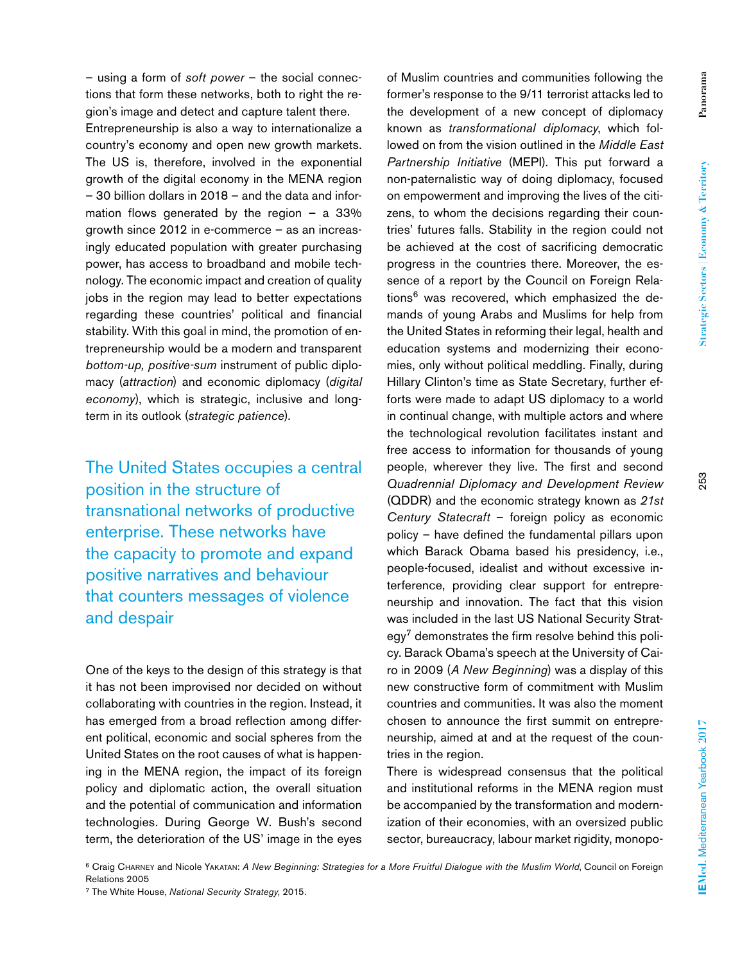Panorama **Panorama**

Entrepreneurship is also a way to internationalize a country's economy and open new growth markets. The US is, therefore, involved in the exponential growth of the digital economy in the MENA region – 30 billion dollars in 2018 – and the data and information flows generated by the region  $-$  a 33% growth since 2012 in e-commerce – as an increasingly educated population with greater purchasing power, has access to broadband and mobile technology. The economic impact and creation of quality jobs in the region may lead to better expectations regarding these countries' political and financial stability. With this goal in mind, the promotion of entrepreneurship would be a modern and transparent *bottom-up, positive-sum* instrument of public diplomacy (*attraction*) and economic diplomacy (*digital economy*), which is strategic, inclusive and longterm in its outlook (*strategic patience*).

The United States occupies a central position in the structure of transnational networks of productive enterprise. These networks have the capacity to promote and expand positive narratives and behaviour that counters messages of violence and despair

One of the keys to the design of this strategy is that it has not been improvised nor decided on without collaborating with countries in the region. Instead, it has emerged from a broad reflection among different political, economic and social spheres from the United States on the root causes of what is happening in the MENA region, the impact of its foreign policy and diplomatic action, the overall situation and the potential of communication and information technologies. During George W. Bush's second term, the deterioration of the US' image in the eyes

of Muslim countries and communities following the former's response to the 9/11 terrorist attacks led to the development of a new concept of diplomacy known as *transformational diplomacy*, which followed on from the vision outlined in the *Middle East Partnership Initiative* (MEPI). This put forward a non-paternalistic way of doing diplomacy, focused on empowerment and improving the lives of the citizens, to whom the decisions regarding their countries' futures falls. Stability in the region could not be achieved at the cost of sacrificing democratic progress in the countries there. Moreover, the essence of a report by the Council on Foreign Relations<sup>6</sup> was recovered, which emphasized the demands of young Arabs and Muslims for help from the United States in reforming their legal, health and education systems and modernizing their economies, only without political meddling. Finally, during Hillary Clinton's time as State Secretary, further efforts were made to adapt US diplomacy to a world in continual change, with multiple actors and where the technological revolution facilitates instant and free access to information for thousands of young people, wherever they live. The first and second *Quadrennial Diplomacy and Development Review* (QDDR) and the economic strategy known as *21st Century Statecraft* – foreign policy as economic policy – have defined the fundamental pillars upon which Barack Obama based his presidency, i.e., people-focused, idealist and without excessive interference, providing clear support for entrepreneurship and innovation. The fact that this vision was included in the last US National Security Strategy<sup>7</sup> demonstrates the firm resolve behind this policy. Barack Obama's speech at the University of Cairo in 2009 (*A New Beginning*) was a display of this new constructive form of commitment with Muslim countries and communities. It was also the moment chosen to announce the first summit on entrepreneurship, aimed at and at the request of the countries in the region.

There is widespread consensus that the political and institutional reforms in the MENA region must be accompanied by the transformation and modernization of their economies, with an oversized public sector, bureaucracy, labour market rigidity, monopo-

6 Craig Charney and Nicole Yakatan: *A New Beginning: Strategies for a More Fruitful Dialogue with the Muslim World*, Council on Foreign Relations 2005